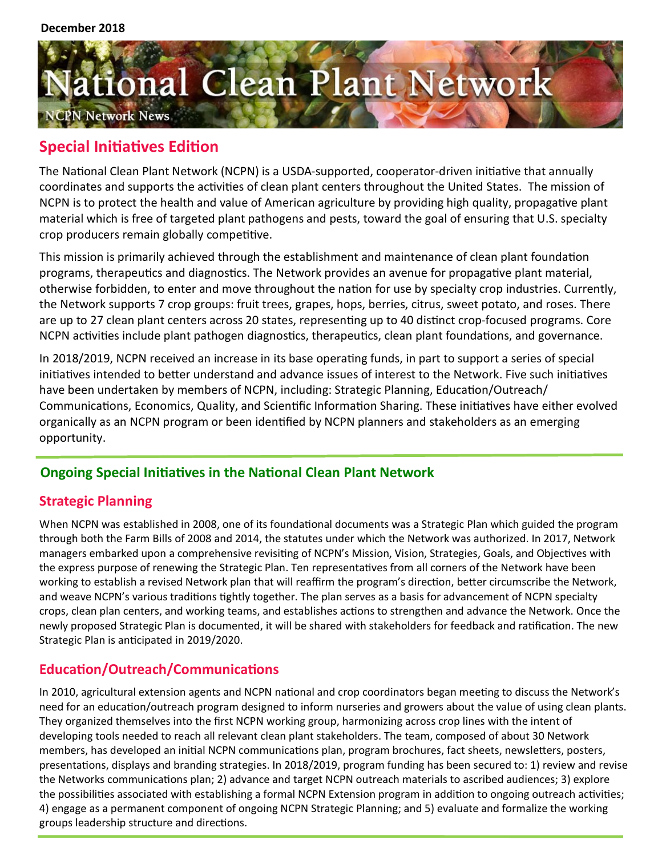# ational Clean Plant Network PN Network News

# **Special Initiatives Edition**

The National Clean Plant Network (NCPN) is a USDA-supported, cooperator-driven initiative that annually coordinates and supports the activities of clean plant centers throughout the United States. The mission of NCPN is to protect the health and value of American agriculture by providing high quality, propagative plant material which is free of targeted plant pathogens and pests, toward the goal of ensuring that U.S. specialty crop producers remain globally competitive.

This mission is primarily achieved through the establishment and maintenance of clean plant foundation programs, therapeutics and diagnostics. The Network provides an avenue for propagative plant material, otherwise forbidden, to enter and move throughout the nation for use by specialty crop industries. Currently, the Network supports 7 crop groups: fruit trees, grapes, hops, berries, citrus, sweet potato, and roses. There are up to 27 clean plant centers across 20 states, representing up to 40 distinct crop-focused programs. Core NCPN activities include plant pathogen diagnostics, therapeutics, clean plant foundations, and governance.

In 2018/2019, NCPN received an increase in its base operating funds, in part to support a series of special initiatives intended to better understand and advance issues of interest to the Network. Five such initiatives have been undertaken by members of NCPN, including: Strategic Planning, Education/Outreach/ Communications, Economics, Quality, and Scientific Information Sharing. These initiatives have either evolved organically as an NCPN program or been identified by NCPN planners and stakeholders as an emerging opportunity.

## **Ongoing Special Initiatives in the National Clean Plant Network**

## **Strategic Planning**

When NCPN was established in 2008, one of its foundational documents was a Strategic Plan which guided the program through both the Farm Bills of 2008 and 2014, the statutes under which the Network was authorized. In 2017, Network managers embarked upon a comprehensive revisiting of NCPN's Mission, Vision, Strategies, Goals, and Objectives with the express purpose of renewing the Strategic Plan. Ten representatives from all corners of the Network have been working to establish a revised Network plan that will reaffirm the program's direction, better circumscribe the Network, and weave NCPN's various traditions tightly together. The plan serves as a basis for advancement of NCPN specialty crops, clean plan centers, and working teams, and establishes actions to strengthen and advance the Network. Once the newly proposed Strategic Plan is documented, it will be shared with stakeholders for feedback and ratification. The new Strategic Plan is anticipated in 2019/2020.

## **Education/Outreach/Communications**

In 2010, agricultural extension agents and NCPN national and crop coordinators began meeting to discuss the Network's need for an education/outreach program designed to inform nurseries and growers about the value of using clean plants. They organized themselves into the first NCPN working group, harmonizing across crop lines with the intent of developing tools needed to reach all relevant clean plant stakeholders. The team, composed of about 30 Network members, has developed an initial NCPN communications plan, program brochures, fact sheets, newsletters, posters, presentations, displays and branding strategies. In 2018/2019, program funding has been secured to: 1) review and revise the Networks communications plan; 2) advance and target NCPN outreach materials to ascribed audiences; 3) explore the possibilities associated with establishing a formal NCPN Extension program in addition to ongoing outreach activities; 4) engage as a permanent component of ongoing NCPN Strategic Planning; and 5) evaluate and formalize the working groups leadership structure and directions.